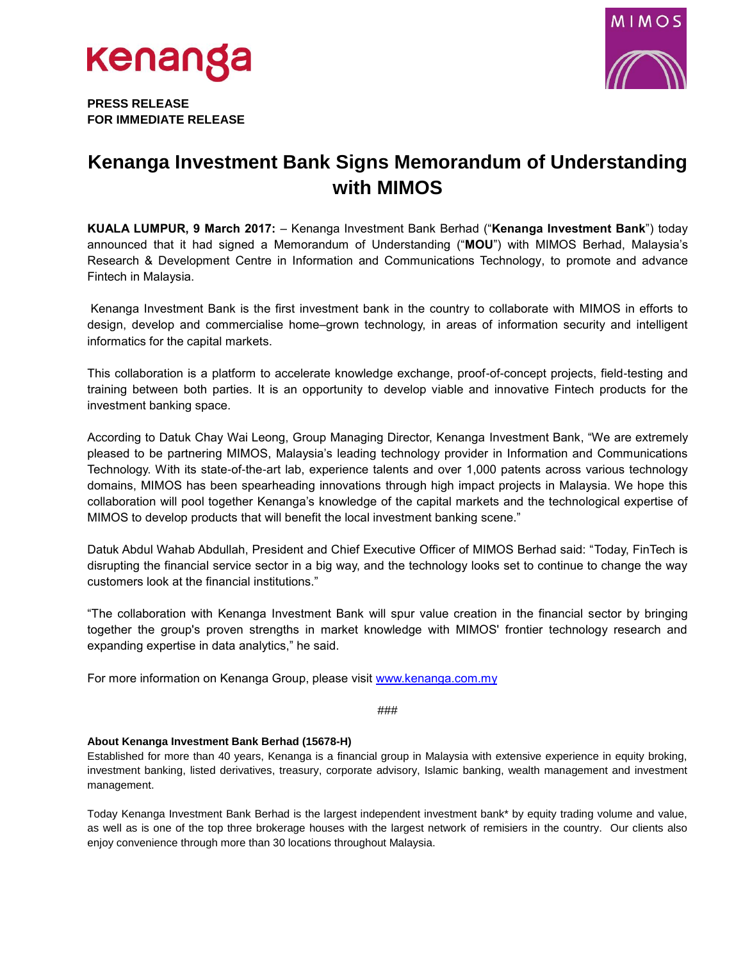



**PRESS RELEASE FOR IMMEDIATE RELEASE** 

## **Kenanga Investment Bank Signs Memorandum of Understanding with MIMOS**

**KUALA LUMPUR, 9 March 2017:** – Kenanga Investment Bank Berhad ("**Kenanga Investment Bank**") today announced that it had signed a Memorandum of Understanding ("**MOU**") with MIMOS Berhad, Malaysia's Research & Development Centre in Information and Communications Technology, to promote and advance Fintech in Malaysia.

Kenanga Investment Bank is the first investment bank in the country to collaborate with MIMOS in efforts to design, develop and commercialise home–grown technology, in areas of information security and intelligent informatics for the capital markets.

This collaboration is a platform to accelerate knowledge exchange, proof-of-concept projects, field-testing and training between both parties. It is an opportunity to develop viable and innovative Fintech products for the investment banking space.

According to Datuk Chay Wai Leong, Group Managing Director, Kenanga Investment Bank, "We are extremely pleased to be partnering MIMOS, Malaysia's leading technology provider in Information and Communications Technology. With its state-of-the-art lab, experience talents and over 1,000 patents across various technology domains, MIMOS has been spearheading innovations through high impact projects in Malaysia. We hope this collaboration will pool together Kenanga's knowledge of the capital markets and the technological expertise of MIMOS to develop products that will benefit the local investment banking scene."

Datuk Abdul Wahab Abdullah, President and Chief Executive Officer of MIMOS Berhad said: "Today, FinTech is disrupting the financial service sector in a big way, and the technology looks set to continue to change the way customers look at the financial institutions."

"The collaboration with Kenanga Investment Bank will spur value creation in the financial sector by bringing together the group's proven strengths in market knowledge with MIMOS' frontier technology research and expanding expertise in data analytics," he said.

For more information on Kenanga Group, please visit [www.kenanga.com.my](http://www.kenanga.com.my/)

###

## **About Kenanga Investment Bank Berhad (15678-H)**

Established for more than 40 years, Kenanga is a financial group in Malaysia with extensive experience in equity broking, investment banking, listed derivatives, treasury, corporate advisory, Islamic banking, wealth management and investment management.

Today Kenanga Investment Bank Berhad is the largest independent investment bank\* by equity trading volume and value, as well as is one of the top three brokerage houses with the largest network of remisiers in the country. Our clients also enjoy convenience through more than 30 locations throughout Malaysia.